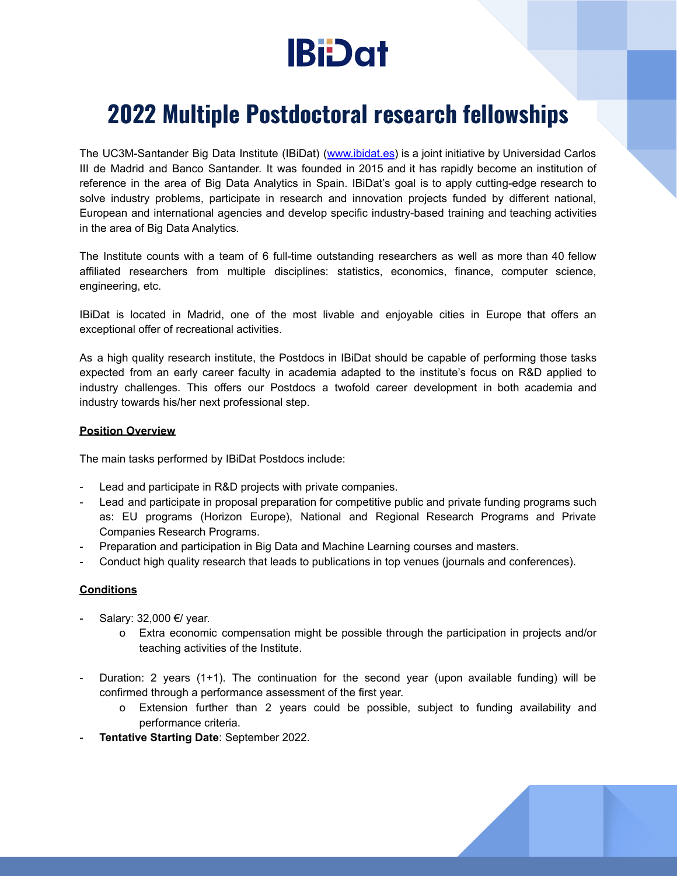# **IBi**Dat

# **2022 Multiple Postdoctoral research fellowships**

The UC3M-Santander Big Data Institute (IBiDat) ([www.ibidat.es](http://www.ibidat.es)) is a joint initiative by Universidad Carlos III de Madrid and Banco Santander. It was founded in 2015 and it has rapidly become an institution of reference in the area of Big Data Analytics in Spain. IBiDat's goal is to apply cutting-edge research to solve industry problems, participate in research and innovation projects funded by different national, European and international agencies and develop specific industry-based training and teaching activities in the area of Big Data Analytics.

The Institute counts with a team of 6 full-time outstanding researchers as well as more than 40 fellow affiliated researchers from multiple disciplines: statistics, economics, finance, computer science, engineering, etc.

IBiDat is located in Madrid, one of the most livable and enjoyable cities in Europe that offers an exceptional offer of recreational activities.

As a high quality research institute, the Postdocs in IBiDat should be capable of performing those tasks expected from an early career faculty in academia adapted to the institute's focus on R&D applied to industry challenges. This offers our Postdocs a twofold career development in both academia and industry towards his/her next professional step.

#### **Position Overview**

The main tasks performed by IBiDat Postdocs include:

- Lead and participate in R&D projects with private companies.
- Lead and participate in proposal preparation for competitive public and private funding programs such as: EU programs (Horizon Europe), National and Regional Research Programs and Private Companies Research Programs.
- Preparation and participation in Big Data and Machine Learning courses and masters.
- Conduct high quality research that leads to publications in top venues (journals and conferences).

### **Conditions**

- Salary: 32,000 €/ year.
	- o Extra economic compensation might be possible through the participation in projects and/or teaching activities of the Institute.
- Duration: 2 years (1+1). The continuation for the second year (upon available funding) will be confirmed through a performance assessment of the first year.
	- o Extension further than 2 years could be possible, subject to funding availability and performance criteria.
- **Tentative Starting Date**: September 2022.